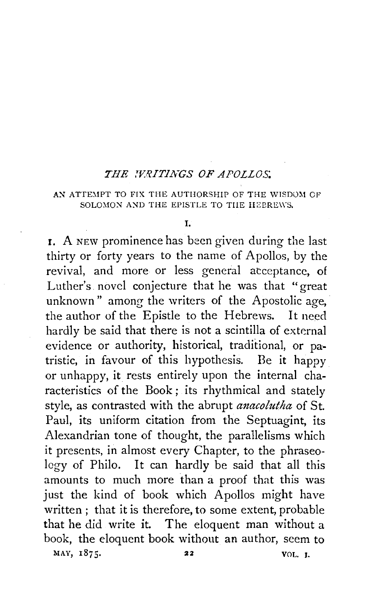## *THE .WRITINGS OF APOLLOS*

## AN ATTEMPT TO FIX THE AUTHORSHIP OF THE WISDOM OF SOLOMON AND THE EPISTLE TO THE HEPREWS.

## I.

**r.** A NEW prominence has been given during the last thirty or forty years to the name of Apollos, by the revival, and more or less general atceptancc, of Luther's novel conjecture that he was that "great unknown" among the writers of the Apostolic age, the author of the Epistle to the Hebrews. It need hardly be said that there is not a scintilla of external evidence or authority, historical, traditional, or patristic, in favour of this hypothesis. Be it happy or unhappy, it rests entirely upon the internal characteristics of the Book; its rhythmical and stately style, as contrasted with the abrupt *anacolutha* of St. Paul, its uniform citation from the Septuagint, its Alexandrian tone of thought, the parallelisms which it presents, in almost every Chapter, to the phraseology of Philo. It can hardly be said that all this amounts to much more than a proof that this was just the kind of book which Apollos might have written ; that it is therefore, to some extent, probable that he did write it. The eloquent man without a book, the eloquent book without an author, seem to MAY, 1875. 22 VOL. J.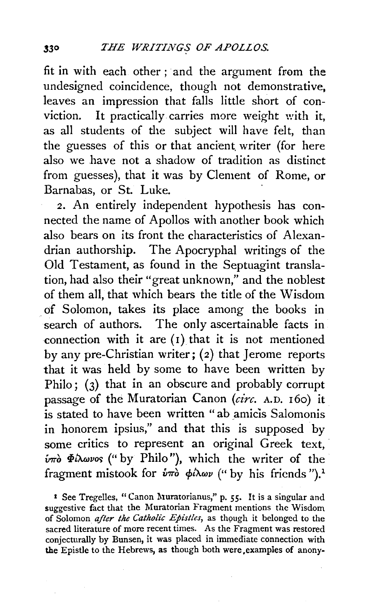fit in with each other ; and the argument from the undesigned coincidence, though not demonstrative, leaves an impression that falls little short of conviction. It practically carries more weight with it, as all students of the subject will have felt, than the guesses of this or that ancient writer (for here also we have not a shadow of tradition as distinct from guesses), that it was by Clement of Rome, or Barnabas, or St. Luke.

*2.* An entirely independent hypothesis has connected the name of Apollos with another book which also bears on its front the characteristics of Alexandrian authorship. The Apocryphal writings of the Old Testament, as found in the Septuagint translation, had also their "great unknown," and the noblest of them all, that which bears the title of the Wisdom . of Solomon, takes its place among the books in search of authors. The only ascertainable facts in connection with it are  $(1)$  that it is not mentioned by any pre-Christian writer;  $(2)$  that Jerome reports that it was held by some to have been written by Philo; (3) that in an obscure and probably corrupt passage of the Muratorian Canon *(circ.* A.D. 160) it is stated to have been written " ab amicis Salomonis in honorem ipsius," and that this is supposed by some critics to represent an original Greek text, *iπ*ό Φίλωνος ("by Philo"), which the writer of the fragment mistook for  $\hat{v}\pi\hat{o}$   $\phi\hat{\mu}$  as (" by his friends ").<sup>1</sup>

<sup>1</sup> See Tregelles, "Canon Muratorianus," p. 55. It is a singular and suggestive fact that the Muratorian Fragment mentions the Wisdom of Solomon *after the Catholic Epistles*, as though it belonged to the sacred literature of more recent times. As the Fragment was restored conjecturally by Bunsen, it was placed in immediate connection with the Epistle to the Hebrews, as though both were,examples of anony-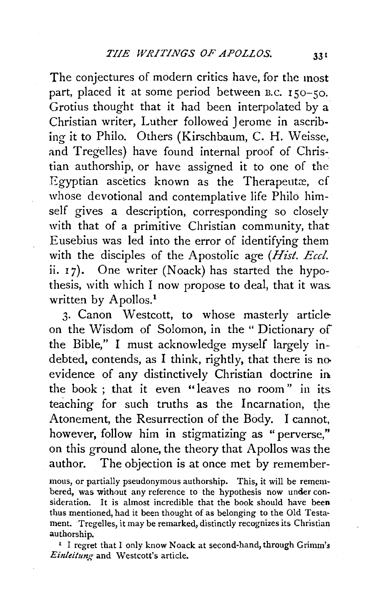The conjectures of modern critics have, for the most part, placed it at some period between B.C. 150-50. Grotius thought that it had been interpolated by a Christian writer, Luther followed Jerome in ascribing it to Philo. Others (Kirschbaum, C. H. Weisse, and Tregelles) have found internal proof of Christian authorship, or have assigned it to one of the Egyptian ascetics known as the Therapeutæ, cf whose devotional and contemplative life Philo himself gives a description, corresponding so closely with that of a primitive Christian community, that Eusebius was led into the error of identifying them with the disciples of the Apostolic age *(Hist. Eccl.*  ii. 17). One writer (Noack) has started the hypothesis, with which I now propose to deal, that it was. written by Apollos.<sup>1</sup>

3. Canon Westcott, to whose masterly articleon the Wisdom of Solomon, in the " Dictionary of the Bible," I must acknowledge myself largely indebted, contends, as I think, rightly, that there is no evidence of any distinctively Christian doctrine in. the book ; that it even "leaves no room" in its teaching for such truths as the Incarnation, the Atonement, the Resurrection of the Body. I cannot, however, follow him in stigmatizing as " perverse," on this ground alone, the theory that Apollos was the author. The objection is at once met by remember-

mons, or partially pseudonymous authorship. This, it will be remembered, was without any reference to the hypothesis now under consideration. It is almost incredible that the book should have been thus mentioned, had it been thought of as belonging to the Old Testa· ment. Tregelles, it may be remarked, distinctly recognizes its Christian authorship.<br><sup>1</sup> I regret that I only know Noack at second-hand, through Grimm's

Einleitung and Westcott's article.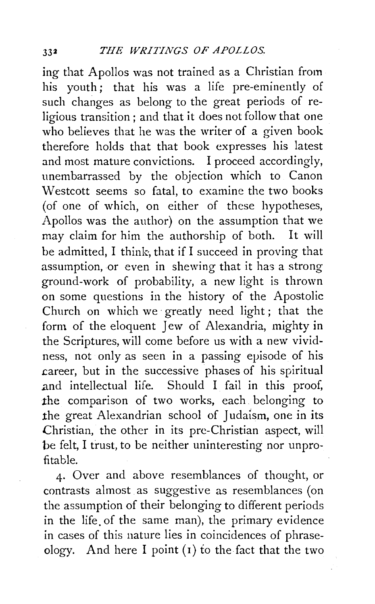ing that Apollos was not trained as a Christian from his youth: that his was a life pre-eminently of such changes as belong to the great periods of religious transition ; and that it does not follow that one who believes that he was the writer of a given book therefore holds that that book expresses his latest and most mature convictions. I proceed accordingly, unembarrassed by the objection which to Canon Westcott seems so fatal, to examine the two books (of one of which, on either of these hypotheses, Apollos was the author) on the assumption that we may claim for him the authorship of both. It will be admitted, I think, that if I succeed in proving that assumption, or even in shewing that it has a strong ground-work of probability, a new light is thrown on some questions in the history of the Apostolic Church on which we· greatly need light; that the form of the eloquent Jew of Alexandria, mighty in the Scriptures, will come before us with a new vividness, not only as seen in a passing episode of his .career, but in the successive phases of his spiritual .and intellectual life. Should I fail in this proof, the comparison of two works, each belonging to the great Alexandrian school of Judaism, one in its Christian, the other in its pre-Christian aspect, will be felt, I trust, to be neither uninteresting nor unprofitable.

4· Over and above resemblances of thought, or contrasts almost as suggestive as resemblances (on the assumption of their belonging to different periods in the life. of the same man), the primary evidence in cases of this nature lies in coincidences of phraseology. And here I point  $(i)$  to the fact that the two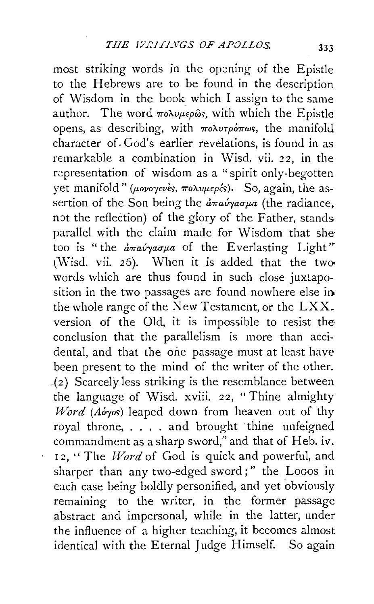most striking words in the opening of the Epistle to the Hebrews are to be found in the description of Wisdom in the book\_ which I assign to the same author. The word  $\pi \circ \lambda \nu \mu \in \rho \hat{\omega}$ ; with which the Epistle opens, as describing, with  $\pi \circ \lambda v \tau \circ \phi \pi \omega s$ , the manifold character of. God's earlier revelations, is found in as remarkable a combination in Wisd. vii. 22, in the representation of wisdom as a "spirit only-begotten yet manifold" ( $\mu$ ovoyevès,  $\pi$ o $\lambda$ v $\mu$ e $\rho$ és). So, again, the assertion of the Son being the  $\frac{\partial \pi}{\partial x}$  and  $\frac{\partial \pi}{\partial y}$  (the radiance, not the reflection) of the glory of the Father, standsparallel with the claim made for Wisdom that she too is "the  $\frac{\partial}{\partial \eta}a\psi\gamma a\sigma\mu a$  of the Everlasting Light" (Wisd. vii. 26). When it is added that the twowords which are thus found in such close juxtaposition in the two passages are found nowhere else ia the whole range of the New Testament, or the LXX. version of the Old, it is impossible to resist the conclusion that the parallelism is more than accidental, and that the one passage must at least have been present to the mind of the writer of the other.  $(2)$  Scarcely less striking is the resemblance between the language of Wisd. xviii. 22, "Thine almighty *Word* (Aóyos) leaped down from heaven out of thy royal throne, . . . . and brought thine unfeigned commandment as a sharp sword," and that of Heb. iv. 12, ''The *Word* of God is quick and powerful, and sharper than any two-edged sword;" the Locos in each case being boldly personified, and yet obviously remaining to the writer, in the former passage abstract and impersonal, while in the latter, under the influence of a higher teaching, it becomes almost identical with the Eternal Judge Himself. So again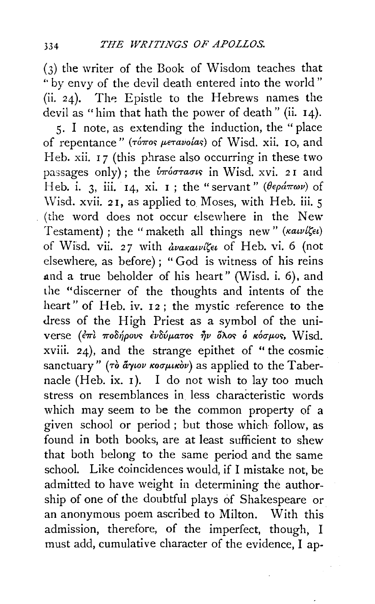$(3)$  the writer of the Book of Wisdom teaches that "by envy of the devil death entered into the world" (ii. 24). The Epistle to the Hebrews names the devil as "him that hath the power of death" (ii. 14). 5. I note, as extending the induction, the "place of repentance" (τόπος μετανοίας) of Wisd. xii. 10, and Heb. xii. 17 (this phrase also occurring in these two passages only); the *inioraous* in Wisd. xvi. 21 and Heb. i. 3, iii. 14, xi. 1; the "servant" ( $\theta \epsilon \rho \hat{a} \pi \omega \nu$ ) of Wisd. xvii. 21, as applied to Moses, with Heb. iii. 5 (the word does not occur elsewhere in the New Testament); the "maketh all things new" (xawi'sev) of Wisd. vii. 27 with avakawike of Heb. vi. 6 (not elsewhere, as before); "God is witness of his reins and a true beholder of his heart" (Wisd. i. 6), and the "discerner of the thoughts and intents of the heart" of Heb. iv. 12; the mystic reference to the dress of the High Priest as a symbol of the universe (επί ποδήρους ενδύματος ήν όλος ο κόσμος, Wisd. xviii. 24), and the strange epithet of "the cosmic sanctuary" ( $\tau$ ò  $\tilde{a}$  $\gamma$ ιον κοσμικὸν) as applied to the Tabernacle (Heb. ix. 1). I do not wish to lay too much stress on resemblances in less characteristic words which may seem to be the common property of a given school or period; but those which follow, as found in both books, are at least sufficient to shew that both belong to the same period and the same school. Like coincidences would, if I mistake not, be admitted to have weight in determining the authorship of one of the doubtful plays of Shakespeare or an anonymous poem ascribed to Milton. With this admission, therefore, of the imperfect, though, I must add, cumulative character of the evidence, I ap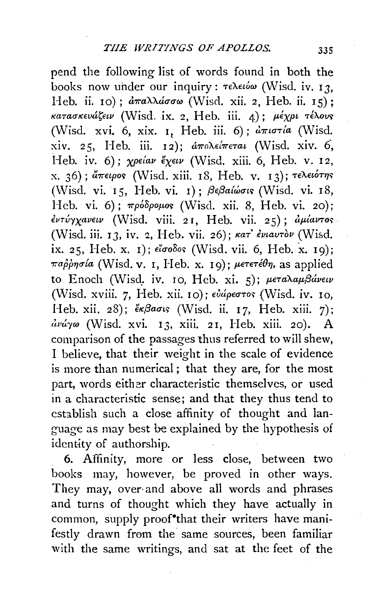pend the following list of words found in both the books now under our inquiry:  $\tau \in \lambda \in \omega$  (Wisd. iv. 13. Heb. ii. 10):  $d\pi a \lambda \lambda d\sigma \sigma \omega$  (Wisd. xii. 2. Heb. ii. 15): κατασκευάζειν (Wisd. ix. 2, Heb. iii. 4); μέχρι τέλους (Wisd. xvi. 6, xix. 1, Heb. iii. 6);  $\partial \pi i \sigma \tau /a$  (Wisd. xiv. 25, Heb. iii. 12); απολείπεται (Wisd. xiv. 6, Heb. iv. 6);  $\chi$ peiav  $\epsilon \chi \epsilon \iota \nu$  (Wisd. xiii. 6, Heb. v. 12, x. 36); άπειρος (Wisd. xiii. 18. Heb. v. 13); τελειότης (Wisd. vi. 15, Heb. vi. 1);  $\beta \epsilon \beta a/\omega \sigma \iota s$  (Wisd. vi. 18, Heb. vi. 6);  $\pi \rho \delta \rho \rho \rho \rho \sigma$  (Wisd. xii. 8, Heb. vi. 20); έντύγχανειν (Wisd. viii. 21, Heb. vii. 25); αμίαντος (Wisd. iii. 13, iv. 2, Heb. vii. 26); kar' ενιαυτόν (Wisd. ix. 25, Heb. x. 1); eloodos (Wisd. vii. 6, Heb. x. 19); παρρησία (Wisd. v. I, Heb. x. 19); μετετέθη, as applied to Enoch (Wisd. iv. 10, Heb. xi. 5); μεταλαμβάνειν (Wisd. xviii. 7, Heb. xii. 10); ενάρεστος (Wisd. iv. 10, Heb. xii. 28); «βασις (Wisd. ii. 17, Heb. xiii. 7);  $\frac{\partial u}{\partial y}$  (Wisd. xvi. 13, xiii. 21, Heb. xiii. 20). A comparison of the passages thus referred to will shew, I believe, that their weight in the scale of evidence is more than numerical; that they are, for the most part, words either characteristic themselves, or used in a characteristic sense; and that they thus tend to establish such a close affinity of thought and language as may best be explained by the hypothesis of identity of authorship.

6. Affinity, more or less close, between two books may, however, be proved in other ways. They may, over and above all words and phrases and turns of thought which they have actually in common, supply proof that their writers have manifestly drawn from the same sources, been familiar with the same writings, and sat at the feet of the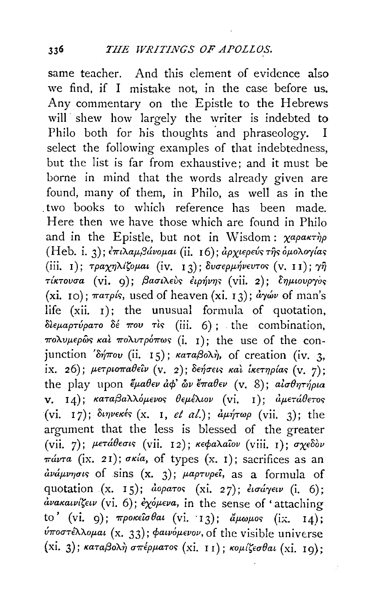same teacher. And this element of evidence also we find, if I mistake not, in the case before us. Any commentary on the Epistle to the Hebrews will shew how largely the writer is indebted to Philo both for his thoughts and phraseology. I select the following examples of that indebtedness, but the list is far from exhaustive; and it must be borne in mind that the words already given are found, many of them, in Philo, as well as in the two books to which reference has been made. Here then we have those which are found in Philo and in the Epistle, but not in Wisdom:  $\chi a \rho a \kappa \tau \eta \rho$ (Heb. i. 3); επιλαμβάνομαι (ii. 16); αρχιερεύς της όμολογίας (iii. 1); τραχηλίζομαι (iv. 13); δυσερμήνευτος (v. 11); γη τίκτουσα (vi. 9); βασιλεύς έιρήνης (vii. 2); δημιουργός (xi. 10);  $\pi a \tau \rho s$ , used of heaven (xi. 13);  $d\gamma \omega \nu$  of man's life  $(xii, 1)$ ; the unusual formula of quotation, διεμαρτύρατο δέ που τις (iii. 6); the combination, πολυμερώς και πολυτρόπως (i. 1); the use of the conjunction  $\delta \eta \pi o \nu$  (ii. 15);  $\kappa \alpha \pi a \beta o \lambda \eta$ , of creation (iv. 3. ix. 26); μετριοπαθείν (v. 2); δεήσεις και ικετηρίας (v. 7); the play upon  $\ddot{\epsilon} \mu a \theta \epsilon \nu \dot{a} \phi' \ddot{\omega} \nu \dot{\epsilon} \pi a \theta \epsilon \nu$  (v. 8);  $a \dot{\iota} \sigma \theta \eta \tau \eta \rho \iota a$ v. 14); καταβαλλόμενος θεμέλιον (vi. 1); αμετάθετος (vi. 17); διηνεκές (x. 1, et al.); αμήτωρ (vii. 3); the argument that the less is blessed of the greater (vii. 7); μετάθεσις (vii. 12); κεφαλαΐον (viii. 1); σχεδόν  $\pi\omega\tau a$  (ix. 21);  $\sigma\kappa\omega a$ , of types (x. 1); sacrifices as an  $\frac{\partial u}{\partial \mu}$  and  $\frac{\partial u}{\partial \mu}$  of sins  $(x, 3)$ ;  $\mu$ *aptupei*, as a formula of quotation (x. 15); doparos (xi. 27); etaper (i. 6);  $\alpha$ νακαινίζειν (vi. 6); εχόμενα, in the sense of 'attaching to' (vi. 9);  $\pi \rho$ oκείσθαι (vi. 13); άμωμος (ix. 14); ύποστέλλομαι (x. 33); φαινόμενον, of the visible universe  $(xi, 3)$ ; καταβολή σπέρματος (xi. 11); κομίζεσθαι (xi. 19);

Å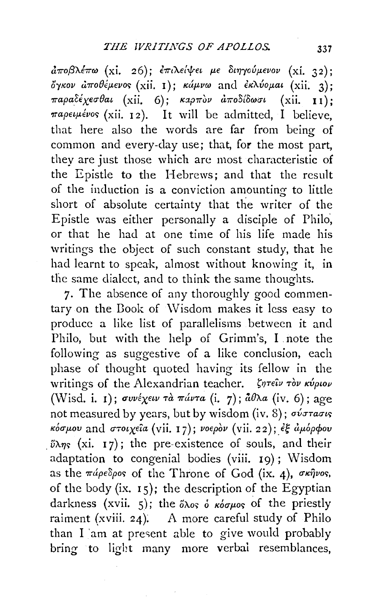$d\pi$ οβλέπω (xi. 26); επιλείψει με διηγούμενον (xi. 32); όγκον αποθέμενος (xii. 1); κάμνω and εκλύομαι (xii. 3); παραδέχεσθαι (xii. 6); καρπον αποδίδωσι (xii. 11); παρειμένος (xii. 12). It will be admitted,  $\hat{I}$  believe, that here also the words are far from being of common and every-day use; that, for the most part, they are just those which are most characteristic of the Epistle to the Hebrews; and that the result of the induction is a conviction amounting to little short of absolute certainty that the writer of the Epistle was either personally a disciple of Philo, or that he had at one time of his life made his writings the object of such constant study, that he had learnt to speak, almost without knowing it, in the same dialect, and to think the same thoughts.

7. The absence of any thoroughly good commentary on the Book of Wisdom makes it less easy to produce a like list of parallelisms between it and Philo, but with the help of Grimm's, I note the following as suggestive of a like conclusion, each phase of thought quoted having its fellow in the writings of the Alexandrian teacher. ζητείν τον κύριον (Wisd. i. 1); συνέχειν τα πάντα (i. 7);  $\hat{a}\theta\lambda a$  (iv. 6); age not measured by years, but by wisdom (iv. 8); ov Tracis κόσμου and στοιχεία (vii. 17); νοερόν (vii. 22); έξ άμόρφου  $\tilde{v}\lambda\eta s$  (xi. 17); the pre-existence of souls, and their adaptation to congenial bodies (viii. 19); Wisdom as the  $\pi\acute{a}p\epsilon\delta\rho$ os of the Throne of God (ix. 4), σκήνος, of the body (ix. 15); the description of the Egyptian darkness (xvii. 5); the  $\delta\lambda$ os  $\delta\kappa\delta\sigma\mu$ os of the priestly raiment (xviii. 24). A more careful study of Philo than I am at present able to give would probably bring to light many more verbal resemblances.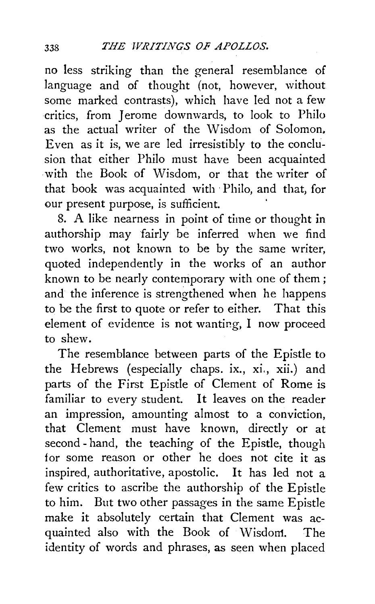no less striking than the general resemblance of language and of thought (not, however, without some marked contrasts), which have led not a few critics, from Jerome downwards, to look to Philo as the actual writer of the Wisdom of Solomon. Even as it is, we are led irresistibly to the conclusion that either Philo must have been acquainted with the Book of Wisdom, or that the writer of that book was acquainted with· Philo, and that, for our present purpose, is sufficient.

8. A like nearness in point of time or thought in authorship may fairly be inferred when we find two works, not known to be by the same writer, quoted independently in the works of an author known to be nearly contemporary with one of them ; and the inference is strengthened when he happens to be the first to quote or refer to either. That this element of evidence is not wanting, I now proceed to shew.

The resemblance between parts of the Epistle to the Hebrews (especially chaps. ix., xi., xii.) and parts of the First Epistle of Clement of Rome is familiar to every student. It leaves on the reader an impression, amounting almost to a conviction, that Clement must have known, directly or at second- hand, the teaching of the Epistle, though for some reason or other he does not cite it as inspired, authoritative, apostolic. It has led not a few critics to ascribe the authorship of the Epistle to him. But two other passages in the same Epistle make it absolutely certain that Clement was acquainted also with the Book of Wisdom. The identity of words and phrases, as seen when placed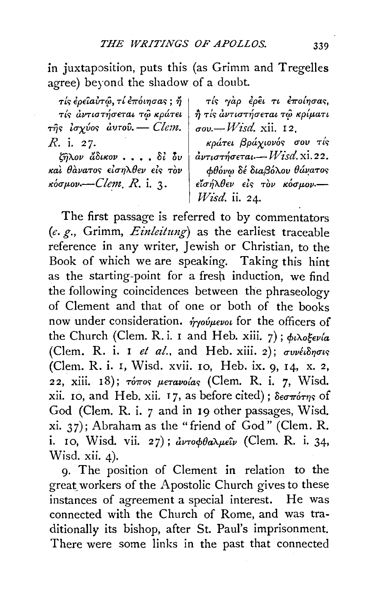in juxtaposition, puts this (as Grimm and Tregelles agree) beyond the shadow of a doubt.

τίς έρειαυτώ, τί έπόιησας; ή | τίς αντιστήσεται τω κράτει της ισχύος αυτού. - Clem. R. i. 27.

ζήλον άδικον....δί δυ και θανατος είσηλθεν είς τον  $\kappa$ όσμον -- Clem, R. i. 3.

τίς γάρ έρει τι έποίησας, η τίς αντιστήσεται τῷ κρίματι  $\sigma$ ov. - *Wisd.* xii. 12.

κράτει βράχιονός σου τίς  $\partial \nu\tau\iota\sigma\tau\eta\sigma$ εται $-W$ isd. xi. 22. φθόνω δέ διαβόλου θάνατος είσήλθεν είς τον κόσμον.- $W$ isd. ii. 24.

The first passage is referred to by commentators (e. g., Grimm,  $Einleitung$ ) as the earliest traceable reference in any writer, Jewish or Christian, to the Book of which we are speaking. Taking this hint as the starting-point for a fresh induction, we find the following coincidences between the phraseology of Clement and that of one or both of the books now under consideration. *ήγούμενοι* for the officers of the Church (Clem. R.i. 1 and Heb. xiii. 7);  $\phi_i \lambda_0 \xi_i \psi_i$ (Clem. R. i. I et al., and Heb. xiii. 2); συνέιδησις (Clem. R. i. I, Wisd. xvii. 10, Heb. ix. 9, 14, x. 2, 22, xiii. 18); τόπος μετανοίας (Clem. R. i. 7, Wisd. xii. 10, and Heb. xii. 17, as before cited);  $\delta \epsilon \sigma \pi \acute{\sigma} \tau \eta s$  of God (Clem. R. i. 7 and in 19 other passages, Wisd. xi. 37); Abraham as the "friend of God" (Clem. R. i. 10, Wisd. vii. 27);  $\partial \nu \tau \partial \phi \partial \alpha \lambda \mu \epsilon \hat{\iota} \nu$  (Clem. R. i. 34, Wisd. xii.  $4$ ).

9. The position of Clement in relation to the great workers of the Apostolic Church gives to these instances of agreement a special interest. He was connected with the Church of Rome, and was traditionally its bishop, after St. Paul's imprisonment. There were some links in the past that connected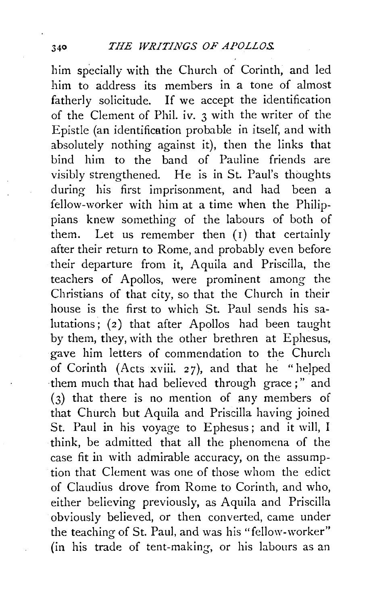him specially with the Church of Corinth, and led him to address its members in a tone of almost fatherly solicitude. If we accept the identification of the Clement of Phil. iv. 3 with the writer of the Epistle (an identification probable in itself, and with absolutely nothing against it), then the links that bind him to the band of Pauline friends are visibly strengthened. He is in St. Paul's thoughts during his first imprisonment, and had been a fellow-worker with him at a time when the Philippians knew something of the labours of both of them. Let us remember then  $(i)$  that certainly after their return to Rome, and probably even before their departure from it, Aquila and Priscilla, the teachers of Apollos, were prominent among the Christians of that city, so that the Church in their house is the first to which St. Paul sends his salutations; (2) that after Apollos had been taught by them, they, with the other brethren at Ephesus, gave him letters of commendation to the Church of Corinth (Acts xviii. 27), and that he "helped them much that had believed through grace ; " and (3) that there is no mention of any members of that Church but Aquila and Priscilla having joined St. Paul in his voyage to Ephesus; and it will, I think, be admitted that all the phenomena of the case fit in with admirable accuracy, on the assumption that Clement was one of those whom the edict of Claudius drove from Rome to Corinth, and who, either believing previously, as Aquila and Priscilla obviously believed, or then converted, came under the teaching of St. Paul, and was his "fellow-worker"  $(in$  his trade of tent-making, or his labours as an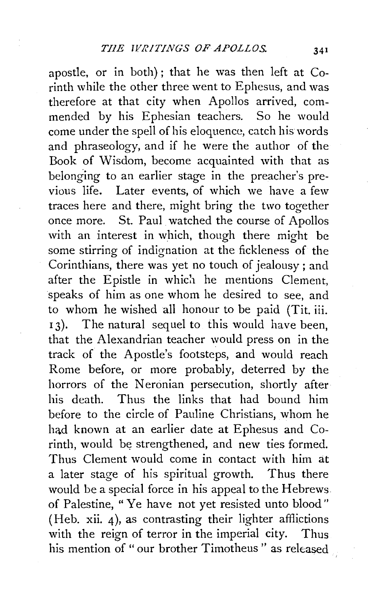apostle, or in both); that he was then left at Corinth while the other three went to Ephesus, and was therefore at that city when Apollos arrived, commended by his Ephesian teachers. So he would come under the spell of his eloquence, catch his words and phraseology, and if he were the author of the Book of Wisdom, become acquainted with that as belonging to an earlier stage in the preacher's previous life. Later events, of which we have a few traces here and there, might bring the two together once more. St. Paul watched the course of Apollos with an interest in which, though there might be some stirring of indignation at the fickleness of the Corinthians, there was yet no touch of jealousy; and after the Epistle in which he mentions Clement, speaks of him as one whom he desired to see, and to whom he wished all honour to be paid (Tit. iii. 13). The natural sequel to this would have been, that the Alexandrian teacher would press on in the track of the Apostle's footsteps, and would reach Rome before, or more probably, deterred by the horrors of the Neronian persecution, shortly after his death. Thus the links that had bound him before to the circle of Pauline Christians, whom he had known at an earlier date at Ephesus and Co $r$ inth, would be strengthened, and new ties formed. Thus Clement would come in contact with him at a later stage of his spiritual growth. Thus there would be a special force in his appeal to the Hebrews of Palestine, "Ye have not yet resisted unto blood" (Heb. xii. 4), as contrasting their lighter afflictions with the reign of terror in the imperial city. Thus his mention of "our brother Timotheus" as released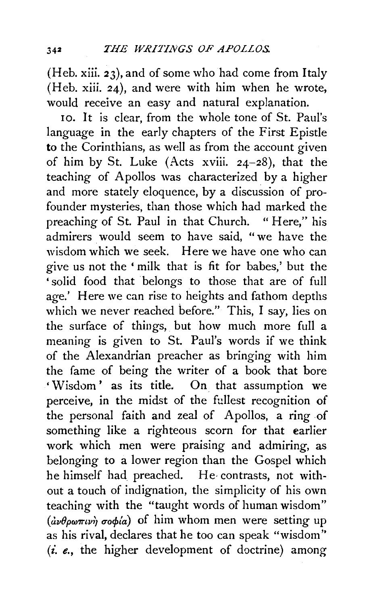(Heb. xiii. 23), and of some who had come from Italy (Heb. xiii. 24), and were with him when he wrote, would receive an easy and natural explanation.

10. It is clear, from the whole tone of St. Paul's language in the early chapters of the First Epistle to the Corinthians, as well as from the account given of him by St. Luke (Acts xviii. 24-28), that the teaching of Apollos was characterized by a higher and more stately eloquence, by a discussion of profounder mysteries, than those which had marked the preaching of St. Paul in that Church. "Here," his admirers would seem to have said, "we have the wisdom which we seek. Here we have one who can give us not the ' milk that is fit for babes,' but the 'solid food that belongs to those that are of full age.' Here we can rise to heights and fathom depths which we never reached before." This, I say, lies on the surface of things, but how much more full a meaning is given to St. Paul's words if we think of the Alexandrian preacher as bringing with him the fame of being the writer of a book that bore 'Wisdom' as its title. On that assumption we perceive, in the midst of the fullest recognition of the personal faith and zeal of Apollos, a ring of something like a righteous scorn for that earlier work which men were praising and admiring, as belonging to a lower region than the Gospel which he himself had preached. He· contrasts, not without a touch of indignation, the simplicity of his own teaching with the "taught words of human wisdom"  $(i\nu\theta\rho\omega\pi\nu\omega\rho\sigma\phi\omega)$  of him whom men were setting up as his rival, declares that he too can speak "wisdom"  $(i. e., the higher development of doctrine) among$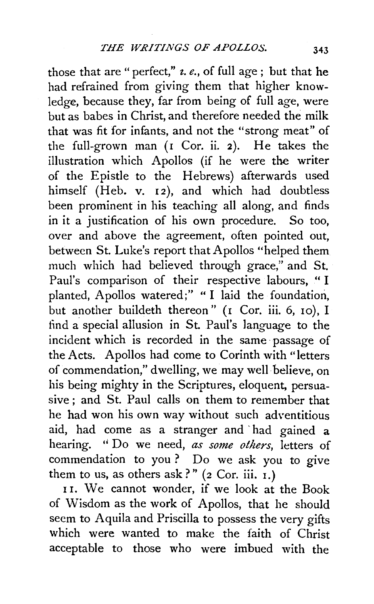those that are" perfect," *z. e.,* of full age; but that he had refrained from giving them that higher knowledge, because they, far from being of full age, were but as babes in Christ, and therefore needed the milk that was fit for infants, and not the "strong meat" of the full-grown man (I Cor. ii. 2). He takes the illustration which Apollos (if he were the writer of the Epistle to the Hebrews) afterwards used himself (Heb. v. 12), and which had doubtless been prominent in his teaching all along, and finds in it a justification of his own procedure. So too, over and above the agreement, often pointed out, between St. Luke's report that Apollos "helped them much which had believed through grace," and St. Paul's comparison of their respective labours, " I planted, Apollos watered;" "I laid the foundation, but another buildeth thereon" (I Cor. iii. 6, 10), I find a special allusion in St. Paul's language to the incident which is recorded in the same · passage of the Acts. Apollos had come to Corinth with "letters of commendation," dwelling, we may well believe, on his being mighty in the Scriptures, eloquent, persuasive; and St. Paul calls on them to remember that he had won his own way without such adventitious aid, had come as a stranger and 'had gained a hearing. '' Do we need, *as some others,* letters of commendation to you ? Do we ask you to give them to us, as others ask?"  $(2 \text{ Cor. iii. } I.)$ 

<sup>I</sup>1. We cannot wonder, if we look at the Book of Wisdom as the work of Apollos, that he should seem to Aquila and Priscilla to possess the very gifts which were wanted to make the faith of Christ acceptable to those who were imbued with the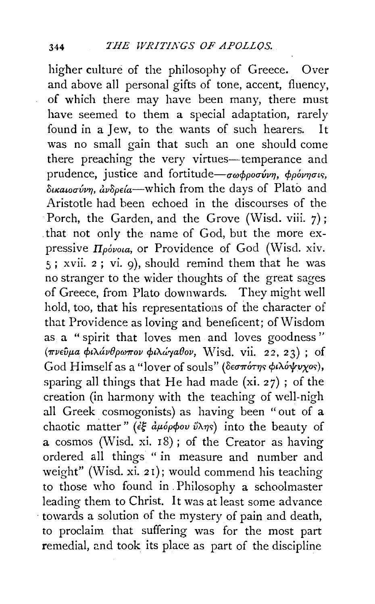higher culture of the philosophy of Greece. Over and above all personal gifts of tone, accent, fluency, of which there may have been many, there must have seemed to them a special adaptation, rarely found in a Jew, to the wants of such hearers. I<sub>t</sub> was no small gain that such an one should come there preaching the very virtues—temperance and prudence, justice and fortitude- $\sigma\omega\phi\rho\sigma\sigma\omega v\eta$ ,  $\phi\rho\phi\nu\eta\sigma v\varsigma$ ,  $\delta$ *i kauog vvn,*  $\dot{a}$ *v* $\delta$ *peia*—which from the days of Plato and Aristotle had been echoed in the discourses of the Porch, the Garden, and the Grove (Wisd. viii. 7); that not only the name of God, but the more expressive *Πρόνοια*, or Providence of God (Wisd. xiv. 5; xvii. 2; vi. 9), should remind them that he was no stranger to the wider thoughts of the great sages of Greece, from Plato downwards. They might well hold, too, that his representations of the character of that Providence as loving and beneficent; of Wisdom as a "spirit that loves men and loves goodness" (πνεύμα φιλάνθρωπον φιλάγαθον, Wisd. vii. 22, 23); of God Himself as a "lover of souls" (δεσπότης φιλόψυχος), sparing all things that He had made  $(xi. 27)$ ; of the creation (in harmony with the teaching of well-nigh all Greek cosmogonists) as having been "out of a chaotic matter" ( $\epsilon \xi$  apopov  $\tilde{\nu} \lambda \eta s$ ) into the beauty of a cosmos (Wisd. xi. 18); of the Creator as having ordered all things "in measure and number and weight" (Wisd. xi. 21); would commend his teaching to those who found in Philosophy a schoolmaster leading them to Christ. It was at least some advance towards a solution of the mystery of pain and death, to proclaim that suffering was for the most part remedial, and took its place as part of the discipline

344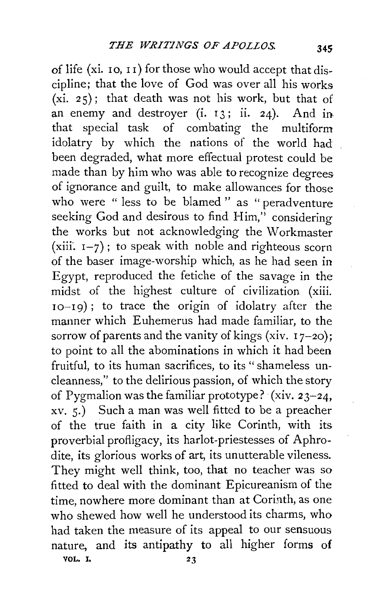of life (xi.  $\overline{10}$ ,  $\overline{11}$ ) for those who would accept that discipline; that the love of God was over all his works  $(xi, 25)$ ; that death was not his work, but that of an enemy and destroyer  $(i, 13; ii, 24)$ . And in that special task of combating the multiform idolatry by which the nations of the world had been degraded, what more effectual protest could be made than by him who was able to recognize degrees of ignorance and guilt, to make allowances for those who were " less to be blamed " as " peradventure seeking God and desirous to find  $\text{Him}$ ," considering the works but not acknowledging the Workmaster (xiii.  $I-7$ ); to speak with noble and righteous scorn of the baser image-worship which, as he had seen in Egypt, reproduced the fetiche of the savage in the midst of the highest culture of civilization (xiii. IO-I9) ; to trace the origin of idolatry after the manner which Euhemerus had made familiar, to the sorrow of parents and the vanity of kings (xiv.  $17-20$ ); to point to all the abominations in which it had been fruitful, to its human sacrifices, to its "shameless uncleanness," to the delirious passion, of which the story of Pygmalion was the familiar prototype? (xiv. 23-24, xv. 5.) Such a man was well fitted to be a preacher of the true faith in a city like Corinth, with its proverbial profligacy, its harlot-priestesses of Aphrodite, its glorious works of art, its unutterable vileness. They might well think, too, that no teacher was so fitted to deal with the dominant Epicureanism of the time, nowhere more dominant than at Corinth, as one who shewed how well he understood its charms, who had taken the measure of its appeal to our sensuous nature, and its antipathy to all higher forms of VOL. I,  $23$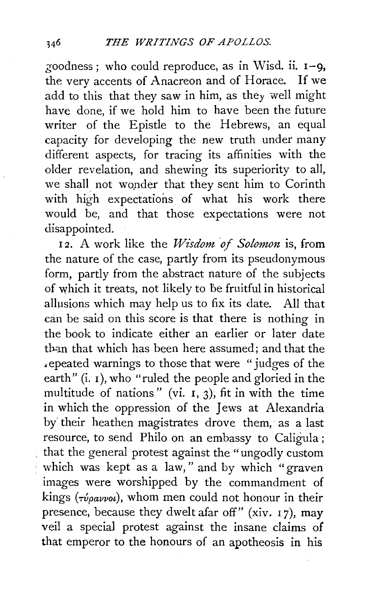goodness; who could reproduce, as in Wisd. ii. 1-9, the verv accents of Anacreon and of Horace. If we add to this that they saw in him, as they well might have done, if we hold him to have been the future writer of the Epistle to the Hebrews, an equal capacity for developing the new truth under many different aspects, for tracing its affinities with the older revelation, and shewing its superiority to all, we shall not wonder that they sent him to Corinth with high expectations of what his work there would be, and that those expectations were not disappointed.

12. A work like the Wisdom of Solomon is, from the nature of the case, partly from its pseudonymous form, partly from the abstract nature of the subjects of which it treats, not likely to be fruitful in historical allusions which may help us to fix its date. All that can be said on this score is that there is nothing in the book to indicate either an earlier or later date than that which has been here assumed; and that the ~epeated warnings to those that were "judges of the earth" (i. I), who "ruled the people and gloried in the multitude of nations" (vi.  $I$ , 3), fit in with the time in which the oppression of the Jews at Alexandria by their heathen magistrates drove them, as a last resource, to send Philo on an embassy to Caligula ; that the general protest against the "ungodly custom which was kept as a law," and by which "graven images were worshipped by the commandment of kings ( $\tau$ *v*<sub>pavvol</sub>), whom men could not honour in their presence, because they dwelt afar off" (xiv.  $17$ ), may veil a special protest against the insane claims of that emperor to the honours of an apotheosis in his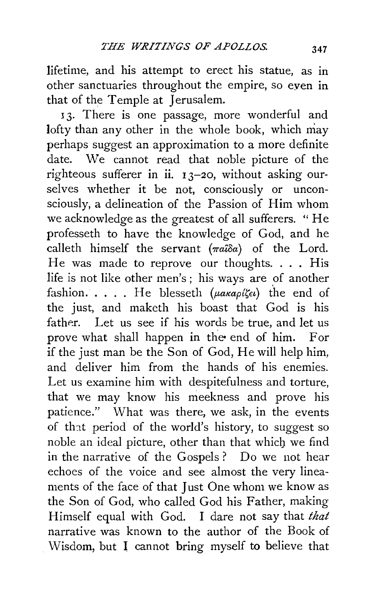lifetime, and his attempt to erect his statue, as in other sanctuaries throughout the empire, so even in that of the Temple at Jerusalem.

13. There is one passage, more wonderful and lofty than any other in the whole book, which may perhaps suggest an approximation to a more definite date. We cannot read that noble picture of the righteous sufferer **in** ii. I 3-20, without asking ourselves whether it be not, consciously or unconsciously, a delineation of the Passion of Him whom we acknowledge as the greatest of all sufferers. "He professeth to have the knowledge of God, and he calleth himself the servant  $(\pi a \hat{i} \delta a)$  of the Lord. He was made to reprove our thoughts .... His life is not like other men's; his ways are of another fashion..... He blesseth  $(\mu \alpha \kappa a \rho \alpha \zeta \epsilon \iota)$  the end of the just, and maketh his boast that God is his father. Let us see if his words be true, and let us prove what shall happen in the end of him. For if the just man be the Son of God, He will help him, and deliver him from the hands of his enemies. Let us examine him with despitefulness and torture, that we may know his meekness and prove his patience." What was there, we ask, in the events of that period of the world's history, to suggest so noble an ideal picture, other than that which we find in the narrative of the Gospels ? Do we not hear echoes of the voice and see almost the very lineaments of the face of that Just One whom we know as the Son of God, who called God his Father, making Himself equal with God. I dare not say that *that*  narrative was known to the author of the Book of Wisdom, but I cannot bring myself to believe that